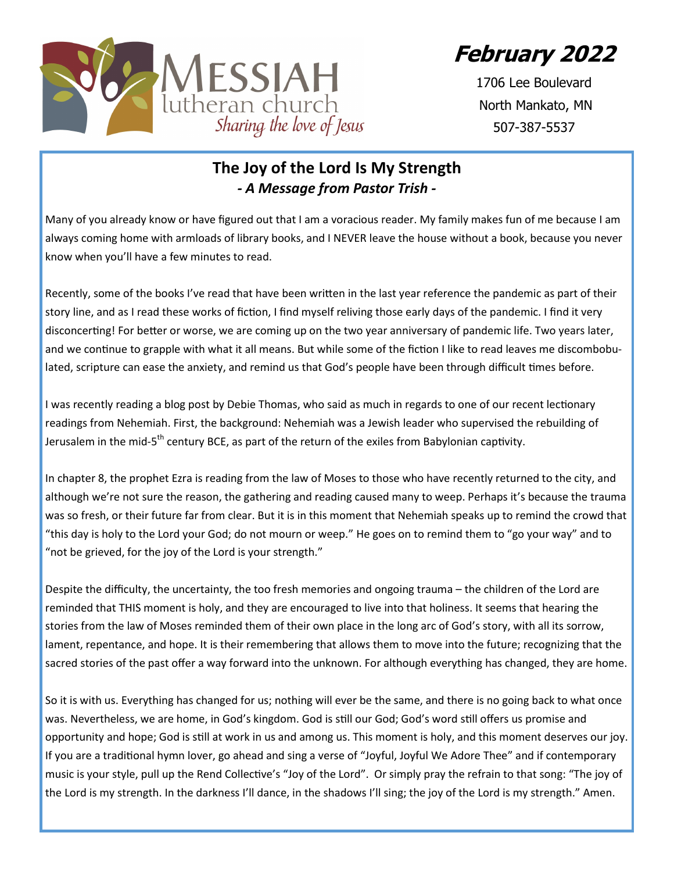**February 2022**



1706 Lee Boulevard North Mankato, MN 507-387-5537

# **The Joy of the Lord Is My Strength** *- A Message from Pastor Trish -*

Many of you already know or have figured out that I am a voracious reader. My family makes fun of me because I am always coming home with armloads of library books, and I NEVER leave the house without a book, because you never know when you'll have a few minutes to read.

Recently, some of the books I've read that have been written in the last year reference the pandemic as part of their story line, and as I read these works of fiction, I find myself reliving those early days of the pandemic. I find it very disconcerting! For better or worse, we are coming up on the two year anniversary of pandemic life. Two years later, and we continue to grapple with what it all means. But while some of the fiction I like to read leaves me discombobulated, scripture can ease the anxiety, and remind us that God's people have been through difficult times before.

I was recently reading a blog post by Debie Thomas, who said as much in regards to one of our recent lectionary readings from Nehemiah. First, the background: Nehemiah was a Jewish leader who supervised the rebuilding of Jerusalem in the mid-5<sup>th</sup> century BCE, as part of the return of the exiles from Babylonian captivity.

In chapter 8, the prophet Ezra is reading from the law of Moses to those who have recently returned to the city, and although we're not sure the reason, the gathering and reading caused many to weep. Perhaps it's because the trauma was so fresh, or their future far from clear. But it is in this moment that Nehemiah speaks up to remind the crowd that "this day is holy to the Lord your God; do not mourn or weep." He goes on to remind them to "go your way" and to "not be grieved, for the joy of the Lord is your strength."

Despite the difficulty, the uncertainty, the too fresh memories and ongoing trauma – the children of the Lord are reminded that THIS moment is holy, and they are encouraged to live into that holiness. It seems that hearing the stories from the law of Moses reminded them of their own place in the long arc of God's story, with all its sorrow, lament, repentance, and hope. It is their remembering that allows them to move into the future; recognizing that the sacred stories of the past offer a way forward into the unknown. For although everything has changed, they are home.

So it is with us. Everything has changed for us; nothing will ever be the same, and there is no going back to what once was. Nevertheless, we are home, in God's kingdom. God is still our God; God's word still offers us promise and opportunity and hope; God is still at work in us and among us. This moment is holy, and this moment deserves our joy. If you are a traditional hymn lover, go ahead and sing a verse of "Joyful, Joyful We Adore Thee" and if contemporary music is your style, pull up the Rend Collective's "Joy of the Lord". Or simply pray the refrain to that song: "The joy of the Lord is my strength. In the darkness I'll dance, in the shadows I'll sing; the joy of the Lord is my strength." Amen.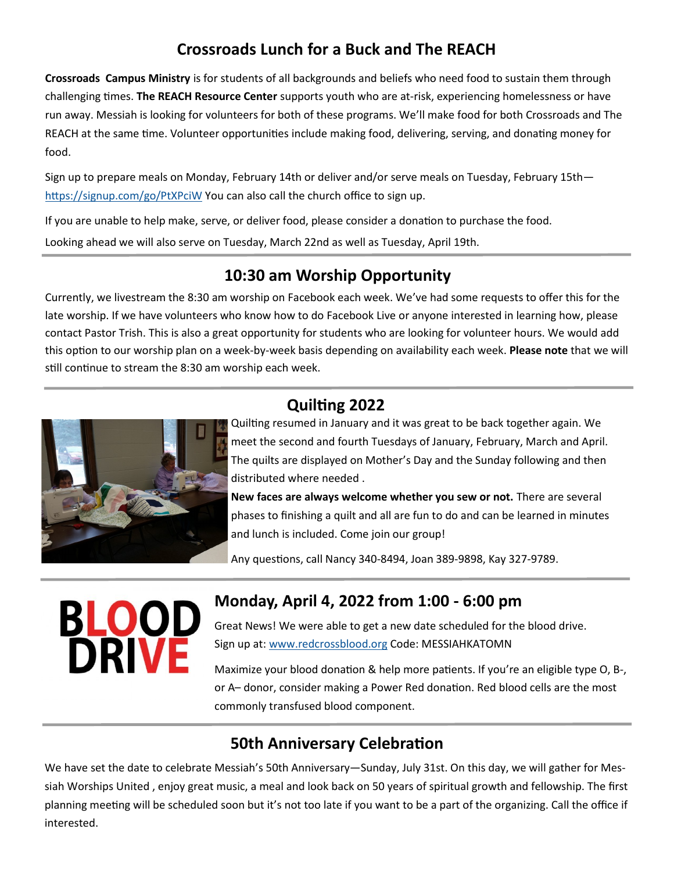# **Crossroads Lunch for a Buck and The REACH**

**Crossroads Campus Ministry** is for students of all backgrounds and beliefs who need food to sustain them through challenging times. **The REACH Resource Center** supports youth who are at-risk, experiencing homelessness or have run away. Messiah is looking for volunteers for both of these programs. We'll make food for both Crossroads and The REACH at the same time. Volunteer opportunities include making food, delivering, serving, and donating money for food.

Sign up to prepare meals on Monday, February 14th or deliver and/or serve meals on Tuesday, February 15th <https://signup.com/go/PtXPciW> You can also call the church office to sign up.

If you are unable to help make, serve, or deliver food, please consider a donation to purchase the food.

Looking ahead we will also serve on Tuesday, March 22nd as well as Tuesday, April 19th.

## **10:30 am Worship Opportunity**

Currently, we livestream the 8:30 am worship on Facebook each week. We've had some requests to offer this for the late worship. If we have volunteers who know how to do Facebook Live or anyone interested in learning how, please contact Pastor Trish. This is also a great opportunity for students who are looking for volunteer hours. We would add this option to our worship plan on a week-by-week basis depending on availability each week. **Please note** that we will still continue to stream the 8:30 am worship each week.



# **Quilting 2022**

Quilting resumed in January and it was great to be back together again. We meet the second and fourth Tuesdays of January, February, March and April. The quilts are displayed on Mother's Day and the Sunday following and then distributed where needed .

**New faces are always welcome whether you sew or not.** There are several phases to finishing a quilt and all are fun to do and can be learned in minutes and lunch is included. Come join our group!

Any questions, call Nancy 340-8494, Joan 389-9898, Kay 327-9789.

# **BLOOD**<br>DRIVE

### **Monday, April 4, 2022 from 1:00 - 6:00 pm** Great News! We were able to get a new date scheduled for the blood drive.

Sign up at: [www.redcrossblood.org](http://www.redcrossblood.org) Code: MESSIAHKATOMN

Maximize your blood donation & help more patients. If you're an eligible type O, B-, or A– donor, consider making a Power Red donation. Red blood cells are the most commonly transfused blood component.

# **50th Anniversary Celebration**

We have set the date to celebrate Messiah's 50th Anniversary—Sunday, July 31st. On this day, we will gather for Messiah Worships United , enjoy great music, a meal and look back on 50 years of spiritual growth and fellowship. The first planning meeting will be scheduled soon but it's not too late if you want to be a part of the organizing. Call the office if interested.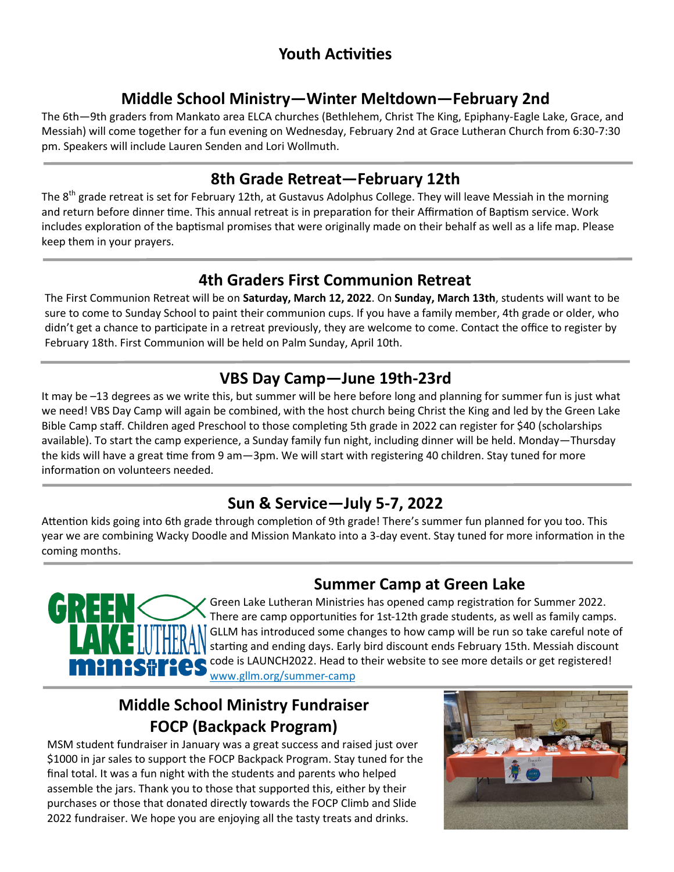# **Youth Activities**

# **Middle School Ministry—Winter Meltdown—February 2nd**

The 6th—9th graders from Mankato area ELCA churches (Bethlehem, Christ The King, Epiphany-Eagle Lake, Grace, and Messiah) will come together for a fun evening on Wednesday, February 2nd at Grace Lutheran Church from 6:30-7:30 pm. Speakers will include Lauren Senden and Lori Wollmuth.

## **8th Grade Retreat—February 12th**

The  $8<sup>th</sup>$  grade retreat is set for February 12th, at Gustavus Adolphus College. They will leave Messiah in the morning and return before dinner time. This annual retreat is in preparation for their Affirmation of Baptism service. Work includes exploration of the baptismal promises that were originally made on their behalf as well as a life map. Please keep them in your prayers.

# **4th Graders First Communion Retreat**

The First Communion Retreat will be on **Saturday, March 12, 2022**. On **Sunday, March 13th**, students will want to be sure to come to Sunday School to paint their communion cups. If you have a family member, 4th grade or older, who didn't get a chance to participate in a retreat previously, they are welcome to come. Contact the office to register by February 18th. First Communion will be held on Palm Sunday, April 10th.

# **VBS Day Camp—June 19th-23rd**

It may be –13 degrees as we write this, but summer will be here before long and planning for summer fun is just what we need! VBS Day Camp will again be combined, with the host church being Christ the King and led by the Green Lake Bible Camp staff. Children aged Preschool to those completing 5th grade in 2022 can register for \$40 (scholarships available). To start the camp experience, a Sunday family fun night, including dinner will be held. Monday—Thursday the kids will have a great time from 9 am—3pm. We will start with registering 40 children. Stay tuned for more information on volunteers needed.

# **Sun & Service—July 5-7, 2022**

Attention kids going into 6th grade through completion of 9th grade! There's summer fun planned for you too. This year we are combining Wacky Doodle and Mission Mankato into a 3-day event. Stay tuned for more information in the coming months.

# **Summer Camp at Green Lake**



Green Lake Lutheran Ministries has opened camp registration for Summer 2022. There are camp opportunities for 1st-12th grade students, as well as family camps. GLLM has introduced some changes to how camp will be run so take careful note of starting and ending days. Early bird discount ends February 15th. Messiah discount code is LAUNCH2022. Head to their website to see more details or get registered! www.gllm.org/summer-camp

# **Middle School Ministry Fundraiser FOCP (Backpack Program)**

MSM student fundraiser in January was a great success and raised just over \$1000 in jar sales to support the FOCP Backpack Program. Stay tuned for the final total. It was a fun night with the students and parents who helped assemble the jars. Thank you to those that supported this, either by their purchases or those that donated directly towards the FOCP Climb and Slide 2022 fundraiser. We hope you are enjoying all the tasty treats and drinks.

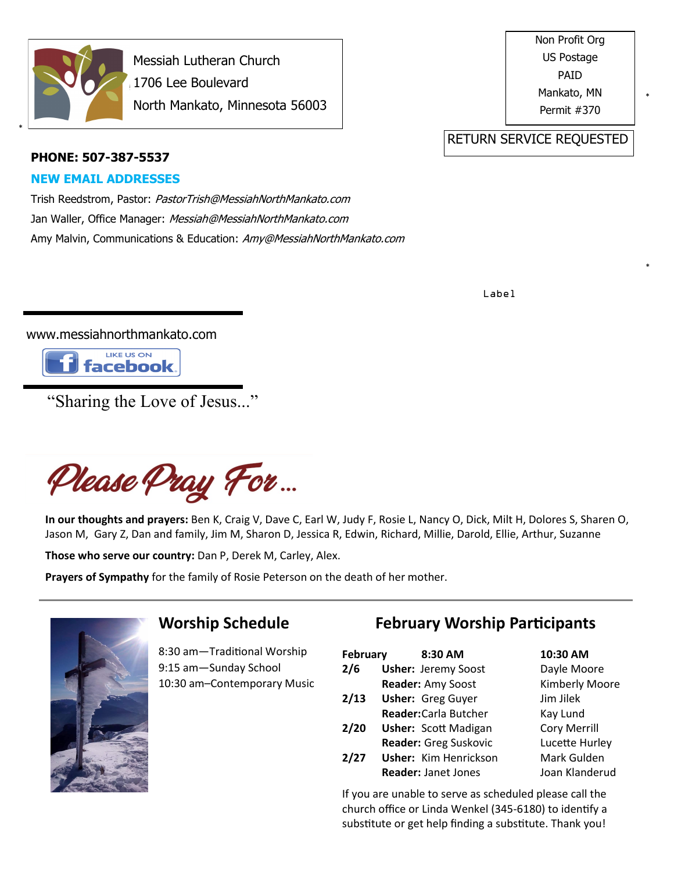

\*

Messiah Lutheran Church 1706 Lee Boulevard North Mankato, Minnesota 56003 Non Profit Org US Postage PAID Mankato, MN Permit #370

\*

\*

#### RETURN SERVICE REQUESTED

#### **PHONE: 507-387-5537**

#### **NEW EMAIL ADDRESSES**

Trish Reedstrom, Pastor: PastorTrish@MessiahNorthMankato.com Jan Waller, Office Manager: Messiah@MessiahNorthMankato.com Amy Malvin, Communications & Education: Amy@MessiahNorthMankato.com

Label

www.messiahnorthmankato.com



"Sharing the Love of Jesus..."

Please Pray For...

**In our thoughts and prayers:** Ben K, Craig V, Dave C, Earl W, Judy F, Rosie L, Nancy O, Dick, Milt H, Dolores S, Sharen O, Jason M, Gary Z, Dan and family, Jim M, Sharon D, Jessica R, Edwin, Richard, Millie, Darold, Ellie, Arthur, Suzanne

**Those who serve our country:** Dan P, Derek M, Carley, Alex.

**Prayers of Sympathy** for the family of Rosie Peterson on the death of her mother.



## **Worship Schedule**

8:30 am—Traditional Worship 9:15 am—Sunday School 10:30 am–Contemporary Music

# **February Worship Participants**

| February | 8:30 AM                      | 10:30 AM              |
|----------|------------------------------|-----------------------|
| 2/6      | <b>Usher: Jeremy Soost</b>   | Dayle Moore           |
|          | Reader: Amy Soost            | <b>Kimberly Moore</b> |
| 2/13     | <b>Usher: Greg Guyer</b>     | Jim Jilek             |
|          | Reader: Carla Butcher        | Kay Lund              |
| 2/20     | <b>Usher: Scott Madigan</b>  | <b>Cory Merrill</b>   |
|          | Reader: Greg Suskovic        | Lucette Hurley        |
| 2/27     | <b>Usher: Kim Henrickson</b> | Mark Gulden           |
|          | <b>Reader: Janet Jones</b>   | Joan Klanderud        |
|          |                              |                       |

If you are unable to serve as scheduled please call the church office or Linda Wenkel (345-6180) to identify a substitute or get help finding a substitute. Thank you!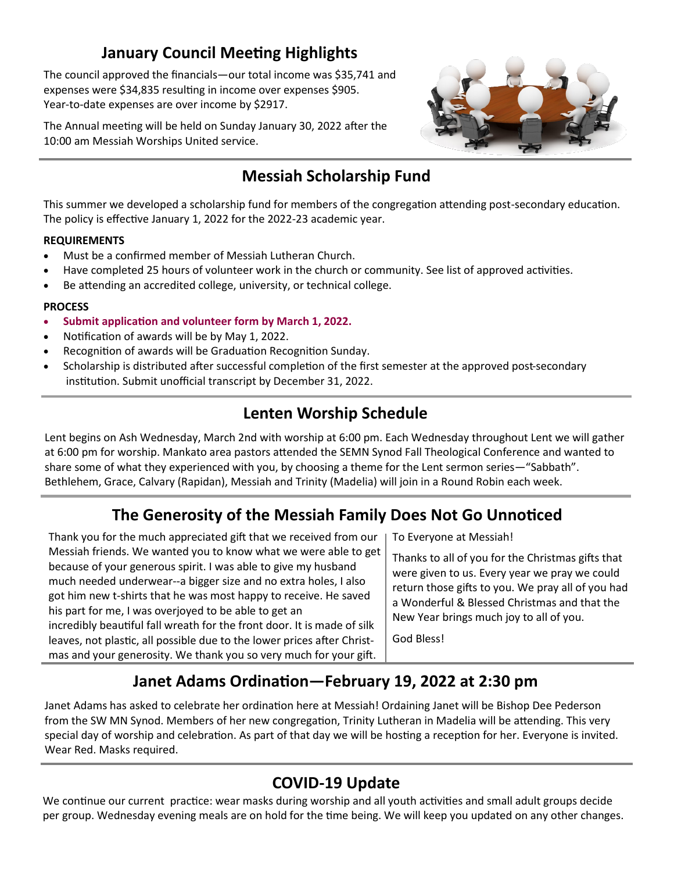# **January Council Meeting Highlights**

The council approved the financials—our total income was \$35,741 and expenses were \$34,835 resulting in income over expenses \$905. Year-to-date expenses are over income by \$2917.

The Annual meeting will be held on Sunday January 30, 2022 after the 10:00 am Messiah Worships United service.



# **Messiah Scholarship Fund**

This summer we developed a scholarship fund for members of the congregation attending post-secondary education. The policy is effective January 1, 2022 for the 2022-23 academic year.

#### **REQUIREMENTS**

- Must be a confirmed member of Messiah Lutheran Church.
- Have completed 25 hours of volunteer work in the church or community. See list of approved activities.
- Be attending an accredited college, university, or technical college.

#### **PROCESS**

- **Submit application and volunteer form by March 1, 2022.**
- Notification of awards will be by May 1, 2022.
- Recognition of awards will be Graduation Recognition Sunday.
- Scholarship is distributed after successful completion of the first semester at the approved post-secondary institution. Submit unofficial transcript by December 31, 2022.

## **Lenten Worship Schedule**

Lent begins on Ash Wednesday, March 2nd with worship at 6:00 pm. Each Wednesday throughout Lent we will gather at 6:00 pm for worship. Mankato area pastors attended the SEMN Synod Fall Theological Conference and wanted to share some of what they experienced with you, by choosing a theme for the Lent sermon series—"Sabbath". Bethlehem, Grace, Calvary (Rapidan), Messiah and Trinity (Madelia) will join in a Round Robin each week.

# **The Generosity of the Messiah Family Does Not Go Unnoticed**

Thank you for the much appreciated gift that we received from our Messiah friends. We wanted you to know what we were able to get because of your generous spirit. I was able to give my husband much needed underwear--a bigger size and no extra holes, I also got him new t-shirts that he was most happy to receive. He saved his part for me, I was overjoyed to be able to get an incredibly beautiful fall wreath for the front door. It is made of silk leaves, not plastic, all possible due to the lower prices after Christmas and your generosity. We thank you so very much for your gift.

To Everyone at Messiah!

Thanks to all of you for the Christmas gifts that were given to us. Every year we pray we could return those gifts to you. We pray all of you had a Wonderful & Blessed Christmas and that the New Year brings much joy to all of you.

God Bless!

# **Janet Adams Ordination—February 19, 2022 at 2:30 pm**

Janet Adams has asked to celebrate her ordination here at Messiah! Ordaining Janet will be Bishop Dee Pederson from the SW MN Synod. Members of her new congregation, Trinity Lutheran in Madelia will be attending. This very special day of worship and celebration. As part of that day we will be hosting a reception for her. Everyone is invited. Wear Red. Masks required.

## **COVID-19 Update**

We continue our current practice: wear masks during worship and all youth activities and small adult groups decide per group. Wednesday evening meals are on hold for the time being. We will keep you updated on any other changes.